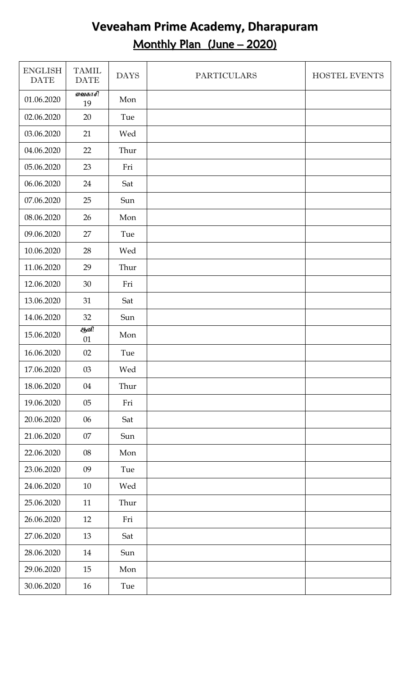## **Veveaham Prime Academy, Dharapuram** Monthly Plan (June – 2020)

| <b>ENGLISH</b><br><b>DATE</b> | <b>TAMIL</b><br><b>DATE</b> | <b>DAYS</b> | <b>PARTICULARS</b> | HOSTEL EVENTS |
|-------------------------------|-----------------------------|-------------|--------------------|---------------|
| 01.06.2020                    | வைகாசி<br>19                | Mon         |                    |               |
| 02.06.2020                    | 20                          | Tue         |                    |               |
| 03.06.2020                    | 21                          | Wed         |                    |               |
| 04.06.2020                    | 22                          | Thur        |                    |               |
| 05.06.2020                    | 23                          | Fri         |                    |               |
| 06.06.2020                    | 24                          | Sat         |                    |               |
| 07.06.2020                    | 25                          | Sun         |                    |               |
| 08.06.2020                    | 26                          | Mon         |                    |               |
| 09.06.2020                    | 27                          | Tue         |                    |               |
| 10.06.2020                    | 28                          | Wed         |                    |               |
| 11.06.2020                    | 29                          | Thur        |                    |               |
| 12.06.2020                    | 30                          | Fri         |                    |               |
| 13.06.2020                    | 31                          | Sat         |                    |               |
| 14.06.2020                    | 32                          | Sun         |                    |               |
| 15.06.2020                    | ஆளி<br>01                   | Mon         |                    |               |
| 16.06.2020                    | 02                          | Tue         |                    |               |
| 17.06.2020                    | 03                          | Wed         |                    |               |
| 18.06.2020                    | 04                          | Thur        |                    |               |
| 19.06.2020                    | 05                          | Fri         |                    |               |
| 20.06.2020                    | 06                          | Sat         |                    |               |
| 21.06.2020                    | 07                          | Sun         |                    |               |
| 22.06.2020                    | 08                          | Mon         |                    |               |
| 23.06.2020                    | 09                          | Tue         |                    |               |
| 24.06.2020                    | 10                          | Wed         |                    |               |
| 25.06.2020                    | 11                          | Thur        |                    |               |
| 26.06.2020                    | 12                          | Fri         |                    |               |
| 27.06.2020                    | 13                          | Sat         |                    |               |
| 28.06.2020                    | 14                          | Sun         |                    |               |
| 29.06.2020                    | 15                          | Mon         |                    |               |
| 30.06.2020                    | 16                          | Tue         |                    |               |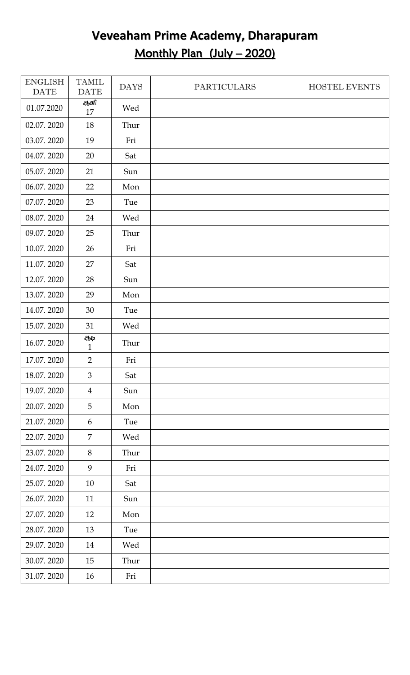# **Veveaham Prime Academy, Dharapuram** Monthly Plan (July – 2020)

| <b>ENGLISH</b><br><b>DATE</b> | <b>TAMIL</b><br><b>DATE</b> | <b>DAYS</b> | <b>PARTICULARS</b> | <b>HOSTEL EVENTS</b> |
|-------------------------------|-----------------------------|-------------|--------------------|----------------------|
| 01.07.2020                    | ஆளி<br>17                   | Wed         |                    |                      |
| 02.07.2020                    | 18                          | Thur        |                    |                      |
| 03.07.2020                    | 19                          | Fri         |                    |                      |
| 04.07.2020                    | 20                          | Sat         |                    |                      |
| 05.07.2020                    | 21                          | Sun         |                    |                      |
| 06.07.2020                    | 22                          | Mon         |                    |                      |
| 07.07.2020                    | 23                          | Tue         |                    |                      |
| 08.07.2020                    | 24                          | Wed         |                    |                      |
| 09.07.2020                    | 25                          | Thur        |                    |                      |
| 10.07.2020                    | 26                          | Fri         |                    |                      |
| 11.07.2020                    | 27                          | Sat         |                    |                      |
| 12.07.2020                    | 28                          | Sun         |                    |                      |
| 13.07.2020                    | 29                          | Mon         |                    |                      |
| 14.07.2020                    | 30                          | Tue         |                    |                      |
| 15.07.2020                    | 31                          | Wed         |                    |                      |
| 16.07.2020                    | EЫ2<br>$\mathbf{1}$         | Thur        |                    |                      |
| 17.07.2020                    | $\overline{2}$              | Fri         |                    |                      |
| 18.07.2020                    | $\mathfrak{Z}$              | Sat         |                    |                      |
| 19.07.2020                    | $\overline{4}$              | Sun         |                    |                      |
| 20.07.2020                    | 5                           | Mon         |                    |                      |
| 21.07.2020                    | 6                           | Tue         |                    |                      |
| 22.07.2020                    | $\overline{7}$              | Wed         |                    |                      |
| 23.07.2020                    | 8                           | Thur        |                    |                      |
| 24.07.2020                    | 9                           | Fri         |                    |                      |
| 25.07.2020                    | 10                          | Sat         |                    |                      |
| 26.07.2020                    | 11                          | Sun         |                    |                      |
| 27.07.2020                    | 12                          | Mon         |                    |                      |
| 28.07.2020                    | 13                          | Tue         |                    |                      |
| 29.07.2020                    | 14                          | Wed         |                    |                      |
| 30.07.2020                    | 15                          | Thur        |                    |                      |
| 31.07.2020                    | 16                          | Fri         |                    |                      |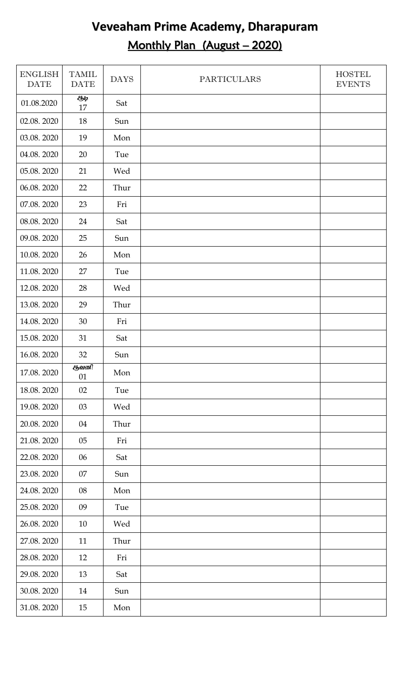# **Veveaham Prime Academy, Dharapuram** Monthly Plan (August - 2020)

| <b>ENGLISH</b><br><b>DATE</b> | <b>TAMIL</b><br><b>DATE</b> | <b>DAYS</b> | <b>PARTICULARS</b> | <b>HOSTEL</b><br><b>EVENTS</b> |
|-------------------------------|-----------------------------|-------------|--------------------|--------------------------------|
| 01.08.2020                    | EЫ⊉<br>17                   | Sat         |                    |                                |
| 02.08.2020                    | 18                          | Sun         |                    |                                |
| 03.08.2020                    | 19                          | Mon         |                    |                                |
| 04.08.2020                    | 20                          | Tue         |                    |                                |
| 05.08.2020                    | 21                          | Wed         |                    |                                |
| 06.08.2020                    | 22                          | Thur        |                    |                                |
| 07.08.2020                    | 23                          | Fri         |                    |                                |
| 08.08.2020                    | 24                          | Sat         |                    |                                |
| 09.08.2020                    | 25                          | Sun         |                    |                                |
| 10.08.2020                    | 26                          | Mon         |                    |                                |
| 11.08.2020                    | 27                          | Tue         |                    |                                |
| 12.08.2020                    | 28                          | Wed         |                    |                                |
| 13.08.2020                    | 29                          | Thur        |                    |                                |
| 14.08.2020                    | 30                          | Fri         |                    |                                |
| 15.08.2020                    | 31                          | Sat         |                    |                                |
| 16.08.2020                    | 32                          | Sun         |                    |                                |
| 17.08.2020                    | ஆவணி<br>01                  | Mon         |                    |                                |
| 18.08.2020                    | 02                          | Tue         |                    |                                |
| 19.08.2020                    | 03                          | Wed         |                    |                                |
| 20.08.2020                    | 04                          | Thur        |                    |                                |
| 21.08.2020                    | $05\,$                      | Fri         |                    |                                |
| 22.08.2020                    | 06                          | Sat         |                    |                                |
| 23.08.2020                    | 07                          | Sun         |                    |                                |
| 24.08.2020                    | 08                          | Mon         |                    |                                |
| 25.08.2020                    | 09                          | Tue         |                    |                                |
| 26.08.2020                    | 10                          | Wed         |                    |                                |
| 27.08.2020                    | 11                          | Thur        |                    |                                |
| 28.08.2020                    | 12                          | Fri         |                    |                                |
| 29.08.2020                    | 13                          | Sat         |                    |                                |
| 30.08.2020                    | 14                          | Sun         |                    |                                |
| 31.08.2020                    | 15                          | Mon         |                    |                                |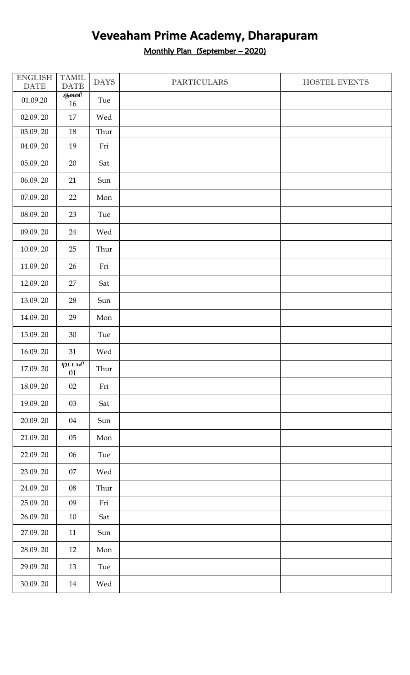Monthly Plan (September – 2020)

| <b>ENGLISH</b><br>$\ensuremath{\mathsf{DATE}}$ | <b>TAMIL</b><br><b>DATE</b> | <b>DAYS</b> | <b>PARTICULARS</b> | HOSTEL EVENTS |
|------------------------------------------------|-----------------------------|-------------|--------------------|---------------|
| 01.09.20                                       | ஆவனி<br>16                  | Tue         |                    |               |
| 02.09.20                                       | 17                          | Wed         |                    |               |
| 03.09.20                                       | 18                          | Thur        |                    |               |
| 04.09.20                                       | 19                          | Fri         |                    |               |
| 05.09.20                                       | 20                          | Sat         |                    |               |
| 06.09.20                                       | 21                          | Sun         |                    |               |
| 07.09.20                                       | 22                          | Mon         |                    |               |
| 08.09.20                                       | 23                          | Tue         |                    |               |
| 09.09.20                                       | 24                          | Wed         |                    |               |
| 10.09.20                                       | 25                          | Thur        |                    |               |
| 11.09.20                                       | 26                          | Fri         |                    |               |
| 12.09.20                                       | 27                          | Sat         |                    |               |
| 13.09.20                                       | 28                          | Sun         |                    |               |
| 14.09.20                                       | 29                          | Mon         |                    |               |
| 15.09.20                                       | $30\,$                      | Tue         |                    |               |
| 16.09.20                                       | 31                          | Wed         |                    |               |
| 17.09.20                                       | <b><i>QUILTER</i></b><br>01 | Thur        |                    |               |
| 18.09.20                                       | 02                          | Fri         |                    |               |
| 19.09.20                                       | $03\,$                      | Sat         |                    |               |
| 20.09.20                                       | 04                          | Sun         |                    |               |
| 21.09.20                                       | $05\,$                      | Mon         |                    |               |
| 22.09.20                                       | 06                          | Tue         |                    |               |
| 23.09.20                                       | $07\,$                      | Wed         |                    |               |
| 24.09.20                                       | $08\,$                      | Thur        |                    |               |
| 25.09.20                                       | 09                          | Fri         |                    |               |
| 26.09.20                                       | $10\,$                      | Sat         |                    |               |
| 27.09.20                                       | 11                          | Sun         |                    |               |
| 28.09.20                                       | 12                          | Mon         |                    |               |
| 29.09.20                                       | 13                          | Tue         |                    |               |
| 30.09.20                                       | 14                          | Wed         |                    |               |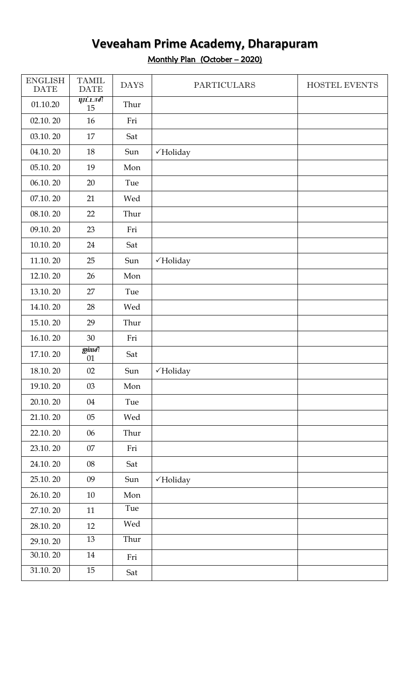#### **Veveaham Prime Academy, Dharapuram** Monthly Plan (October – 2020)

| <b>ENGLISH</b><br><b>DATE</b> | <b>TAMIL</b><br><b>DATE</b> | <b>DAYS</b> | <b>PARTICULARS</b>   | HOSTEL EVENTS |
|-------------------------------|-----------------------------|-------------|----------------------|---------------|
| 01.10.20                      | <i><b>QUILTE</b></i><br>15  | Thur        |                      |               |
| 02.10.20                      | 16                          | Fri         |                      |               |
| 03.10.20                      | 17                          | Sat         |                      |               |
| 04.10.20                      | 18                          | Sun         | √Holiday             |               |
| 05.10.20                      | 19                          | Mon         |                      |               |
| 06.10.20                      | 20                          | Tue         |                      |               |
| 07.10.20                      | 21                          | Wed         |                      |               |
| 08.10.20                      | 22                          | Thur        |                      |               |
| 09.10.20                      | 23                          | Fri         |                      |               |
| 10.10.20                      | 24                          | Sat         |                      |               |
| 11.10.20                      | 25                          | Sun         | √Holiday             |               |
| 12.10.20                      | 26                          | Mon         |                      |               |
| 13.10.20                      | 27                          | Tue         |                      |               |
| 14.10.20                      | 28                          | Wed         |                      |               |
| 15.10.20                      | 29                          | Thur        |                      |               |
| 16.10.20                      | 30                          | Fri         |                      |               |
| 17.10.20                      | $g$ inafl<br>01             | Sat         |                      |               |
| 18.10.20                      | 02                          | Sun         | $\checkmark$ Holiday |               |
| 19.10.20                      | 03                          | Mon         |                      |               |
| 20.10.20                      | 04                          | Tue         |                      |               |
| 21.10.20                      | 05                          | Wed         |                      |               |
| 22.10.20                      | 06                          | Thur        |                      |               |
| 23.10.20                      | 07                          | Fri         |                      |               |
| 24.10.20                      | 08                          | Sat         |                      |               |
| 25.10.20                      | 09                          | Sun         | √Holiday             |               |
| 26.10.20                      | 10                          | Mon         |                      |               |
| 27.10.20                      | 11                          | Tue         |                      |               |
| 28.10.20                      | 12                          | Wed         |                      |               |
| 29.10.20                      | 13                          | Thur        |                      |               |
| 30.10.20                      | $14\,$                      | Fri         |                      |               |
| 31.10.20                      | $15\,$                      | Sat         |                      |               |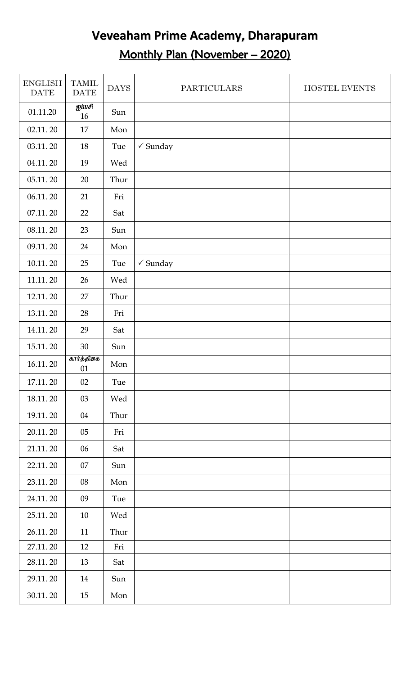# **Veveaham Prime Academy, Dharapuram** Monthly Plan (November – 2020)

| <b>ENGLISH</b><br><b>DATE</b> | <b>TAMIL</b><br><b>DATE</b>        | <b>DAYS</b> | <b>PARTICULARS</b>  | <b>HOSTEL EVENTS</b> |
|-------------------------------|------------------------------------|-------------|---------------------|----------------------|
| 01.11.20                      | $\overline{\mathbf{g}$ inafl<br>16 | Sun         |                     |                      |
| 02.11.20                      | 17                                 | Mon         |                     |                      |
| 03.11.20                      | 18                                 | Tue         | $\checkmark$ Sunday |                      |
| 04.11.20                      | 19                                 | Wed         |                     |                      |
| 05.11.20                      | 20                                 | Thur        |                     |                      |
| 06.11.20                      | 21                                 | Fri         |                     |                      |
| 07.11.20                      | 22                                 | Sat         |                     |                      |
| 08.11.20                      | 23                                 | Sun         |                     |                      |
| 09.11.20                      | 24                                 | Mon         |                     |                      |
| 10.11.20                      | 25                                 | Tue         | $\checkmark$ Sunday |                      |
| 11.11.20                      | 26                                 | Wed         |                     |                      |
| 12.11.20                      | 27                                 | Thur        |                     |                      |
| 13.11.20                      | 28                                 | Fri         |                     |                      |
| 14.11.20                      | 29                                 | Sat         |                     |                      |
| 15.11.20                      | 30                                 | Sun         |                     |                      |
| 16.11.20                      | கார்த்திகை<br>01                   | Mon         |                     |                      |
| 17.11.20                      | 02                                 | Tue         |                     |                      |
| 18.11.20                      | 03                                 | Wed         |                     |                      |
| 19.11.20                      | 04                                 | Thur        |                     |                      |
| 20.11.20                      | 05                                 | Fri         |                     |                      |
| 21.11.20                      | 06                                 | Sat         |                     |                      |
| 22.11.20                      | 07                                 | Sun         |                     |                      |
| 23.11.20                      | 08                                 | Mon         |                     |                      |
| 24.11.20                      | 09                                 | Tue         |                     |                      |
| 25.11.20                      | 10                                 | Wed         |                     |                      |
| 26.11.20                      | 11                                 | Thur        |                     |                      |
| 27.11.20                      | 12                                 | Fri         |                     |                      |
| 28.11.20                      | 13                                 | Sat         |                     |                      |
| 29.11.20                      | 14                                 | Sun         |                     |                      |
| 30.11.20                      | 15                                 | Mon         |                     |                      |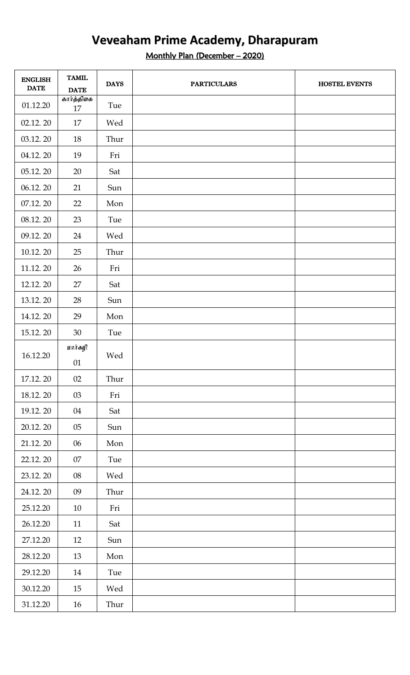Monthly Plan (December – 2020)

| <b>ENGLISH</b><br><b>DATE</b> | <b>TAMIL</b><br><b>DATE</b> | <b>DAYS</b> | <b>PARTICULARS</b> | HOSTEL EVENTS |
|-------------------------------|-----------------------------|-------------|--------------------|---------------|
| 01.12.20                      | கார்த்திகை<br>17            | Tue         |                    |               |
| 02.12.20                      | 17                          | Wed         |                    |               |
| 03.12.20                      | 18                          | Thur        |                    |               |
| 04.12.20                      | 19                          | Fri         |                    |               |
| 05.12.20                      | 20                          | Sat         |                    |               |
| 06.12.20                      | 21                          | Sun         |                    |               |
| 07.12.20                      | 22                          | Mon         |                    |               |
| 08.12.20                      | 23                          | Tue         |                    |               |
| 09.12.20                      | 24                          | Wed         |                    |               |
| 10.12.20                      | 25                          | Thur        |                    |               |
| 11.12.20                      | 26                          | Fri         |                    |               |
| 12.12.20                      | 27                          | Sat         |                    |               |
| 13.12.20                      | 28                          | Sun         |                    |               |
| 14.12.20                      | 29                          | Mon         |                    |               |
| 15.12.20                      | 30                          | Tue         |                    |               |
| 16.12.20                      | மார்கழி<br>01               | Wed         |                    |               |
| 17.12.20                      | 02                          | Thur        |                    |               |
| 18.12.20                      | 03                          | Fri         |                    |               |
| 19.12.20                      | 04                          | Sat         |                    |               |
| 20.12.20                      | $05\,$                      | Sun         |                    |               |
| 21.12.20                      | 06                          | Mon         |                    |               |
| 22.12.20                      | $07\,$                      | Tue         |                    |               |
| 23.12.20                      | $08\,$                      | Wed         |                    |               |
| 24.12.20                      | 09                          | Thur        |                    |               |
| 25.12.20                      | $10\,$                      | Fri         |                    |               |
| 26.12.20                      | 11                          | Sat         |                    |               |
| 27.12.20                      | 12                          | Sun         |                    |               |
| 28.12.20                      | 13                          | Mon         |                    |               |
| 29.12.20                      | 14                          | Tue         |                    |               |
| 30.12.20                      | 15                          | Wed         |                    |               |
| 31.12.20                      | 16                          | Thur        |                    |               |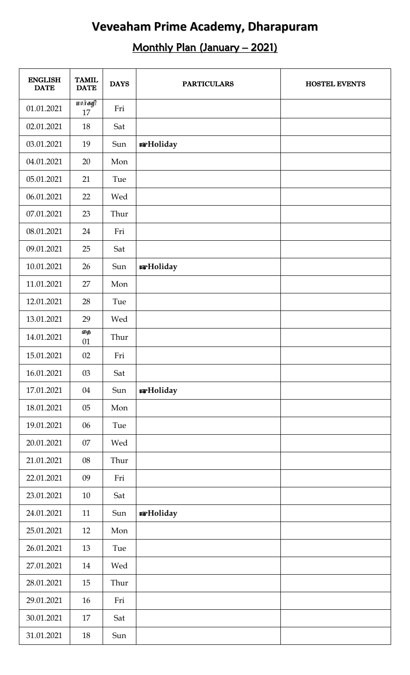# Monthly Plan (January – 2021)

| <b>ENGLISH</b><br><b>DATE</b> | <b>TAMIL</b><br><b>DATE</b> | <b>DAYS</b> | <b>PARTICULARS</b> | <b>HOSTEL EVENTS</b> |
|-------------------------------|-----------------------------|-------------|--------------------|----------------------|
| 01.01.2021                    | $\overline{unit}$ கழி<br>17 | Fri         |                    |                      |
| 02.01.2021                    | 18                          | Sat         |                    |                      |
| 03.01.2021                    | 19                          | Sun         | <b>B</b> Holiday   |                      |
| 04.01.2021                    | 20                          | Mon         |                    |                      |
| 05.01.2021                    | 21                          | Tue         |                    |                      |
| 06.01.2021                    | 22                          | Wed         |                    |                      |
| 07.01.2021                    | 23                          | Thur        |                    |                      |
| 08.01.2021                    | 24                          | Fri         |                    |                      |
| 09.01.2021                    | 25                          | Sat         |                    |                      |
| 10.01.2021                    | 26                          | Sun         | <b>R</b> Holiday   |                      |
| 11.01.2021                    | 27                          | Mon         |                    |                      |
| 12.01.2021                    | 28                          | Tue         |                    |                      |
| 13.01.2021                    | 29                          | Wed         |                    |                      |
| 14.01.2021                    | தை<br>01                    | Thur        |                    |                      |
| 15.01.2021                    | 02                          | Fri         |                    |                      |
| 16.01.2021                    | $03\,$                      | Sat         |                    |                      |
| 17.01.2021                    | 04                          | Sun         | <b>s</b> Holiday   |                      |
| 18.01.2021                    | 05                          | Mon         |                    |                      |
| 19.01.2021                    | 06                          | Tue         |                    |                      |
| 20.01.2021                    | 07                          | Wed         |                    |                      |
| 21.01.2021                    | 08                          | Thur        |                    |                      |
| 22.01.2021                    | 09                          | Fri         |                    |                      |
| 23.01.2021                    | 10                          | Sat         |                    |                      |
| 24.01.2021                    | 11                          | Sun         | <b>s</b> Holiday   |                      |
| 25.01.2021                    | 12                          | Mon         |                    |                      |
| 26.01.2021                    | 13                          | Tue         |                    |                      |
| 27.01.2021                    | 14                          | Wed         |                    |                      |
| 28.01.2021                    | 15                          | Thur        |                    |                      |
| 29.01.2021                    | 16                          | Fri         |                    |                      |
| 30.01.2021                    | 17                          | Sat         |                    |                      |
| 31.01.2021                    | 18                          | Sun         |                    |                      |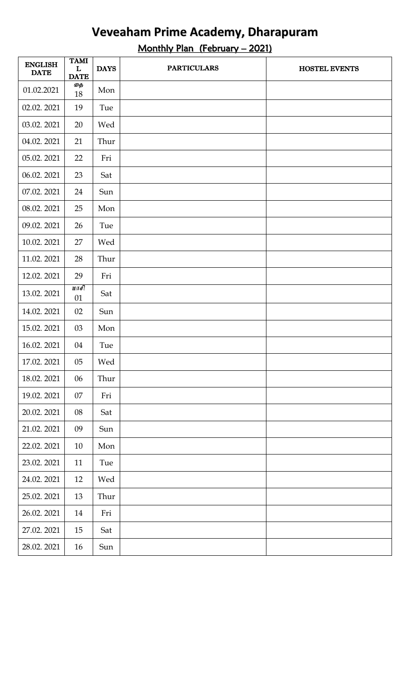Monthly Plan (February – 2021)

| <b>ENGLISH</b><br><b>DATE</b> | <b>TAMI</b><br>L<br><b>DATE</b> | <b>DAYS</b> | <b>PARTICULARS</b> | <b>HOSTEL EVENTS</b> |
|-------------------------------|---------------------------------|-------------|--------------------|----------------------|
| 01.02.2021                    | தை<br>18                        | Mon         |                    |                      |
| 02.02.2021                    | 19                              | Tue         |                    |                      |
| 03.02.2021                    | 20                              | Wed         |                    |                      |
| 04.02.2021                    | 21                              | Thur        |                    |                      |
| 05.02.2021                    | 22                              | Fri         |                    |                      |
| 06.02.2021                    | 23                              | Sat         |                    |                      |
| 07.02.2021                    | 24                              | Sun         |                    |                      |
| 08.02.2021                    | 25                              | Mon         |                    |                      |
| 09.02.2021                    | 26                              | Tue         |                    |                      |
| 10.02.2021                    | 27                              | Wed         |                    |                      |
| 11.02.2021                    | 28                              | Thur        |                    |                      |
| 12.02.2021                    | 29                              | Fri         |                    |                      |
| 13.02.2021                    | $10 \pi F$<br>01                | Sat         |                    |                      |
| 14.02.2021                    | 02                              | Sun         |                    |                      |
| 15.02.2021                    | 03                              | Mon         |                    |                      |
| 16.02.2021                    | 04                              | Tue         |                    |                      |
| 17.02.2021                    | $05\,$                          | Wed         |                    |                      |
| 18.02.2021                    | 06                              | Thur        |                    |                      |
| 19.02. 2021                   | 07                              | Fri         |                    |                      |
| 20.02.2021                    | 08                              | Sat         |                    |                      |
| 21.02.2021                    | 09                              | Sun         |                    |                      |
| 22.02.2021                    | 10                              | Mon         |                    |                      |
| 23.02.2021                    | 11                              | Tue         |                    |                      |
| 24.02.2021                    | 12                              | Wed         |                    |                      |
| 25.02.2021                    | 13                              | Thur        |                    |                      |
| 26.02.2021                    | 14                              | Fri         |                    |                      |
| 27.02.2021                    | 15                              | Sat         |                    |                      |
| 28.02.2021                    | 16                              | Sun         |                    |                      |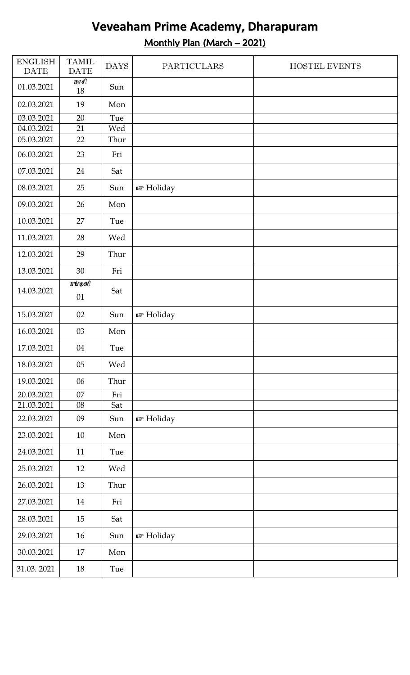### **Veveaham Prime Academy, Dharapuram** Monthly Plan (March – 2021)

| <b>ENGLISH</b><br><b>DATE</b> | <b>TAMIL</b><br><b>DATE</b> | <b>DAYS</b> | <b>PARTICULARS</b> | HOSTEL EVENTS |
|-------------------------------|-----------------------------|-------------|--------------------|---------------|
| 01.03.2021                    | $\overline{w}$<br>18        | Sun         |                    |               |
| 02.03.2021                    | 19                          | Mon         |                    |               |
| 03.03.2021                    | 20                          | Tue         |                    |               |
| 04.03.2021                    | 21                          | Wed         |                    |               |
| 05.03.2021                    | 22                          | Thur        |                    |               |
| 06.03.2021                    | 23                          | Fri         |                    |               |
| 07.03.2021                    | 24                          | Sat         |                    |               |
| 08.03.2021                    | 25                          | Sun         | <b>E</b> Holiday   |               |
| 09.03.2021                    | 26                          | Mon         |                    |               |
| 10.03.2021                    | 27                          | Tue         |                    |               |
| 11.03.2021                    | 28                          | Wed         |                    |               |
| 12.03.2021                    | 29                          | Thur        |                    |               |
| 13.03.2021                    | 30                          | Fri         |                    |               |
| 14.03.2021                    | பங்குளி<br>01               | Sat         |                    |               |
| 15.03.2021                    | 02                          | Sun         | <b>E</b> Holiday   |               |
| 16.03.2021                    | $03\,$                      | Mon         |                    |               |
| 17.03.2021                    | 04                          | Tue         |                    |               |
| 18.03.2021                    | 05                          | Wed         |                    |               |
| 19.03.2021                    | 06                          | Thur        |                    |               |
| 20.03.2021                    | 07                          | Fri         |                    |               |
| 21.03.2021                    | 08                          | Sat         |                    |               |
| 22.03.2021                    | 09                          | Sun         | <b>B</b> Holiday   |               |
| 23.03.2021                    | 10                          | Mon         |                    |               |
| 24.03.2021                    | 11                          | Tue         |                    |               |
| 25.03.2021                    | 12                          | Wed         |                    |               |
| 26.03.2021                    | 13                          | Thur        |                    |               |
| 27.03.2021                    | 14                          | Fri         |                    |               |
| 28.03.2021                    | 15                          | Sat         |                    |               |
| 29.03.2021                    | 16                          | Sun         | <b>B</b> Holiday   |               |
| 30.03.2021                    | 17                          | Mon         |                    |               |
| 31.03.2021                    | $18\,$                      | Tue         |                    |               |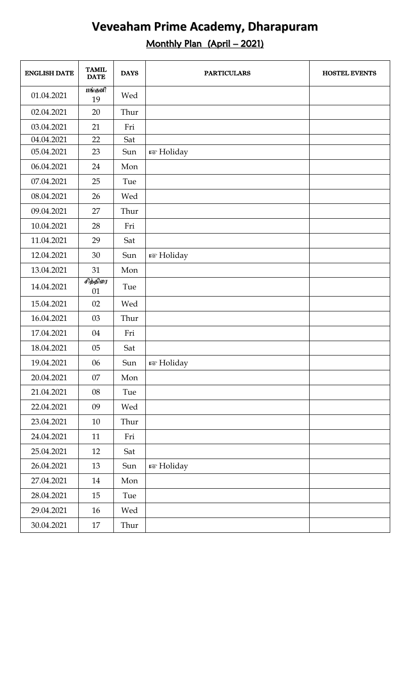#### Monthly Plan (April – 2021)

| <b>ENGLISH DATE</b> | <b>TAMIL</b><br><b>DATE</b> | <b>DAYS</b> | <b>PARTICULARS</b>     | <b>HOSTEL EVENTS</b> |
|---------------------|-----------------------------|-------------|------------------------|----------------------|
| 01.04.2021          | பங்குளி<br>19               | Wed         |                        |                      |
| 02.04.2021          | 20                          | Thur        |                        |                      |
| 03.04.2021          | 21                          | Fri         |                        |                      |
| 04.04.2021          | 22                          | Sat         |                        |                      |
| 05.04.2021          | 23                          | Sun         | n <sup>®</sup> Holiday |                      |
| 06.04.2021          | 24                          | Mon         |                        |                      |
| 07.04.2021          | 25                          | Tue         |                        |                      |
| 08.04.2021          | 26                          | Wed         |                        |                      |
| 09.04.2021          | 27                          | Thur        |                        |                      |
| 10.04.2021          | 28                          | Fri         |                        |                      |
| 11.04.2021          | 29                          | Sat         |                        |                      |
| 12.04.2021          | 30                          | Sun         | <sup>13</sup> Holiday  |                      |
| 13.04.2021          | 31                          | Mon         |                        |                      |
| 14.04.2021          | சித்திரை<br>01              | Tue         |                        |                      |
| 15.04.2021          | 02                          | Wed         |                        |                      |
| 16.04.2021          | 03                          | Thur        |                        |                      |
| 17.04.2021          | 04                          | Fri         |                        |                      |
| 18.04.2021          | 05                          | Sat         |                        |                      |
| 19.04.2021          | $06\,$                      | Sun         | <b>R</b> Holiday       |                      |
| 20.04.2021          | 07                          | Mon         |                        |                      |
| 21.04.2021          | 08                          | Tue         |                        |                      |
| 22.04.2021          | 09                          | Wed         |                        |                      |
| 23.04.2021          | 10                          | Thur        |                        |                      |
| 24.04.2021          | 11                          | Fri         |                        |                      |
| 25.04.2021          | 12                          | Sat         |                        |                      |
| 26.04.2021          | 13                          | Sun         | <b>☞ Holiday</b>       |                      |
| 27.04.2021          | 14                          | Mon         |                        |                      |
| 28.04.2021          | 15                          | Tue         |                        |                      |
| 29.04.2021          | 16                          | Wed         |                        |                      |
| 30.04.2021          | 17                          | Thur        |                        |                      |